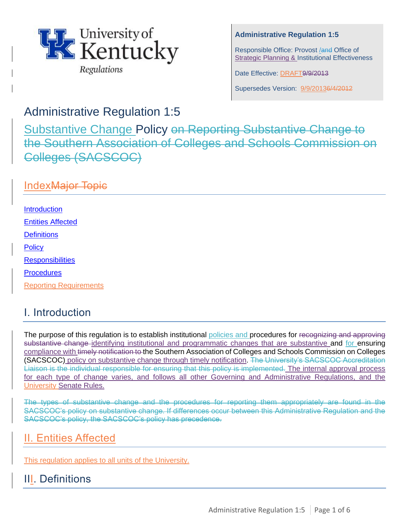

## **Administrative Regulation 1:5**

Responsible Office: Provost /and Office of Strategic Planning & Institutional Effectiveness

Date Effective: DRAFT9/9/2013

Supersedes Version: 9/9/20136/4/2012

# Administrative Regulation 1:5

Substantive Change Policy on Reporting Substantive Change to the Southern Association of Colleges and Schools Commission on Colleges (SACSCOC)

## IndexMajor Topic

**Introduction** [Entities Affected](#page-0-0) **[Definitions](#page-0-1) [Policy](#page-2-0) Responsibilities Procedures** 

**Reporting Requirements** 

# I. Introduction

The purpose of this regulation is to establish institutional policies and procedures for recognizing and approving substantive change identifying institutional and programmatic changes that are substantive and for ensuring compliance with timely notification to the Southern Association of Colleges and Schools Commission on Colleges (SACSCOC) policy on substantive change through timely notification. The University's SACSCOC Accreditation Liaison is the individual responsible for ensuring that this policy is implemented. The internal approval process for each type of change varies, and follows all other Governing and Administrative Regulations, and the University Senate Rules.

The types of substantive change and the procedures for reporting them appropriately are found in the SACSCOC's policy on substantive change. If differences occur between this Administrative Regulation and the SACSCOC's policy, the SACSCOC's policy has precedence.

# <span id="page-0-0"></span>II. Entities Affected

This regulation applies to all units of the University.

# <span id="page-0-1"></span>III. Definitions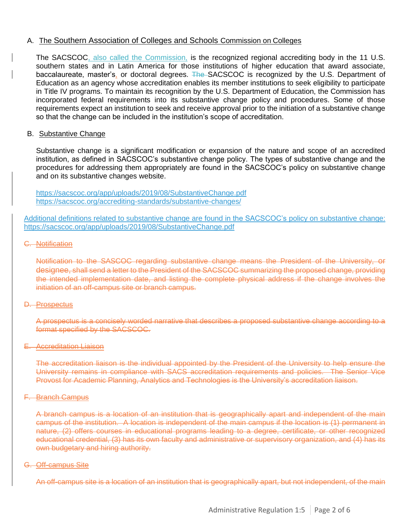### A. The Southern Association of Colleges and Schools Commission on Colleges

The SACSCOC, also called the Commission, is the recognized regional accrediting body in the 11 U.S. southern states and in Latin America for those institutions of higher education that award associate, baccalaureate, master's, or doctoral degrees. The SACSCOC is recognized by the U.S. Department of Education as an agency whose accreditation enables its member institutions to seek eligibility to participate in Title IV programs. To maintain its recognition by the U.S. Department of Education, the Commission has incorporated federal requirements into its substantive change policy and procedures. Some of those requirements expect an institution to seek and receive approval prior to the initiation of a substantive change so that the change can be included in the institution's scope of accreditation.

#### B. Substantive Change

Substantive change is a significant modification or expansion of the nature and scope of an accredited institution, as defined in SACSCOC's substantive change policy. The types of substantive change and the procedures for addressing them appropriately are found in the SACSCOC's [policy on substantive](http://www.sacscoc.org/pdf/081705/Substantive%20change%20policy.pdf) [change](http://www.sacscoc.org/pdf/081705/Substantive%20change%20policy.pdf)  and on its substantive changes [website.](http://www.sacscoc.org/SubstantiveChange.asp)

<https://sacscoc.org/app/uploads/2019/08/SubstantiveChange.pdf> https://sacscoc.org/accrediting-standards/substantive-changes/

Additional definitions related to substantive change are found in the SACSCOC's [policy on substantive](http://www.sacscoc.org/pdf/081705/Substantive%20change%20policy.pdf) [change:](http://www.sacscoc.org/pdf/081705/Substantive%20change%20policy.pdf)  <https://sacscoc.org/app/uploads/2019/08/SubstantiveChange.pdf>

#### C. Notification

Notification to the SASCOC regarding substantive change means the President of the University, or designee, shall send a letter to the President of the SACSCOC summarizing the proposed change, providing the intended implementation date, and listing the complete physical address if the change involves the initiation of an off-campus site or branch campus.

#### D. Prospectus

A prospectus is a concisely worded narrative that describes a proposed substantive change according to a format specified by the SACSCOC.

#### E. Accreditation Liaison

The accreditation liaison is the individual appointed by the President of the University to help ensure the University remains in compliance with SACS accreditation requirements and policies. The Senior Vice Provost for Academic Planning, Analytics and Technologies is the University's accreditation liaison.

#### F. Branch Campus

A branch campus is a location of an institution that is geographically apart and independent of the main campus of the institution. A location is independent of the main campus if the location is (1) permanent in nature, (2) offers courses in educational programs leading to a degree, certificate, or other recognized educational credential, (3) has its own faculty and administrative or supervisory organization, and (4) has its own budgetary and hiring authority.

#### G. Off-campus Site

An off-campus site is a location of an institution that is geographically apart, but not independent, of the main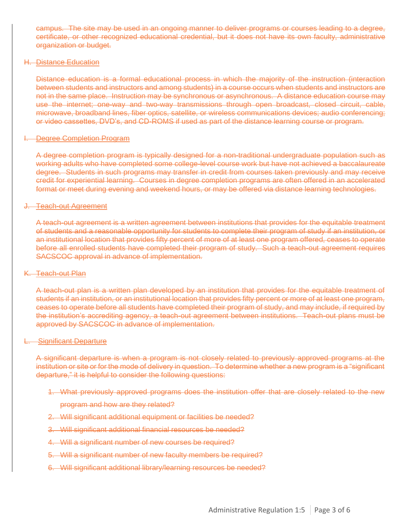campus. The site may be used in an ongoing manner to deliver programs or courses leading to a degree, certificate, or other recognized educational credential, but it does not have its own faculty, administrative organization or budget.

#### H. Distance Education

Distance education is a formal educational process in which the majority of the instruction (interaction between students and instructors and among students) in a course occurs when students and instructors are not in the same place. Instruction may be synchronous or asynchronous. A distance education course may use the internet; one-way and two-way transmissions through open broadcast, closed circuit, cable, microwave, broadband lines, fiber optics, satellite, or wireless communications devices; audio conferencing; or video cassettes, DVD's, and CD-ROMS if used as part of the distance learning course or program.

#### **Begree Completion Program**

A degree completion program is typically designed for a non-traditional undergraduate population such as working adults who have completed some college-level course work but have not achieved a baccalaureate degree. Students in such programs may transfer in credit from courses taken previously and may receive credit for experiential learning. Courses in degree completion programs are often offered in an accelerated format or meet during evening and weekend hours, or may be offered via distance learning technologies.

#### J. Teach-out Agreement

A teach-out agreement is a written agreement between institutions that provides for the equitable treatment of students and a reasonable opportunity for students to complete their program of study if an institution, or an institutional location that provides fifty percent of more of at least one program offered, ceases to operate before all enrolled students have completed their program of study. Such a teach-out agreement requires SACSCOC approval in advance of implementation.

### K. Teach-out Plan

A teach-out plan is a written plan developed by an institution that provides for the equitable treatment of students if an institution, or an institutional location that provides fifty percent or more of at least one program, ceases to operate before all students have completed their program of study, and may include, if required by the institution's accrediting agency, a teach-out agreement between institutions. Teach-out plans must be approved by SACSCOC in advance of implementation.

#### L. Significant Departure

A significant departure is when a program is not closely related to previously approved programs at the institution or site or for the mode of delivery in question. To determine whether a new program is a "significant departure," it is helpful to consider the following questions:

- 1. What previously approved programs does the institution offer that are closely related to the new
	- program and how are they related?
- 2. Will significant additional equipment or facilities be needed?
- 3. Will significant additional financial resources be needed?
- 4. Will a significant number of new courses be required?
- 5. Will a significant number of new faculty members be required?
- <span id="page-2-0"></span>6. Will significant additional library/learning resources be needed?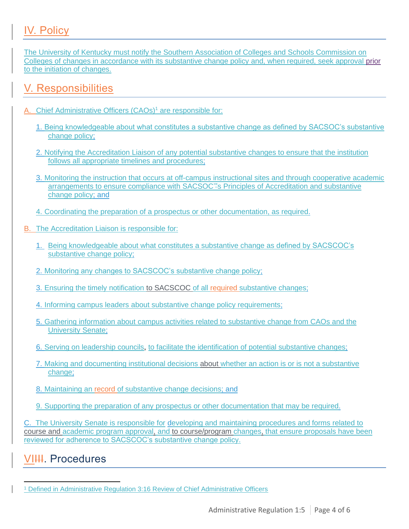# IV. Policy

The University of Kentucky must notify the Southern Association of Colleges and Schools Commission on Colleges of changes in accordance with its substantive change policy and, when required, seek approval prior to the initiation of changes.

## V. Responsibilities

- A. Chief Administrative Officers (CAOs)<sup>1</sup> are responsible for:
	- 1. Being knowledgeable about what constitutes a substantive change as defined by SACSOC's substantive change policy;
	- 2. Notifying the Accreditation Liaison of any potential substantive changes to ensure that the institution follows all appropriate timelines and procedures;
	- 3. Monitoring the instruction that occurs at off-campus instructional sites and through cooperative academic arrangements to ensure compliance with SACSOC'"s Principles of Accreditation and substantive change policy; and
	- 4. Coordinating the preparation of a prospectus or other documentation, as required.
- B. The Accreditation Liaison is responsible for:
	- 1. Being knowledgeable about what constitutes a substantive change as defined by SACSCOC's substantive change policy;
	- 2. Monitoring any changes to SACSCOC's substantive change policy;
	- 3. Ensuring the timely notification to SACSCOC of all required substantive changes;
	- 4. Informing campus leaders about substantive change policy requirements;
	- 5. Gathering information about campus activities related to substantive change from CAOs and the University Senate;
	- 6. Serving on leadership councils, to facilitate the identification of potential substantive changes;
	- 7. Making and documenting institutional decisions about whether an action is or is not a substantive change:
	- 8. Maintaining an record of substantive change decisions; and
	- 9. Supporting the preparation of any prospectus or other documentation that may be required.

C. The University Senate is responsible for developing and maintaining procedures and forms related to course and academic program approval, and to course/program changes, that ensure proposals have been reviewed for adherence to SACSCOC's substantive change policy.

# VI<del>III</del>. Procedures

<sup>1</sup> Defined in Administrative Regulation 3:16 Review of Chief Administrative Officers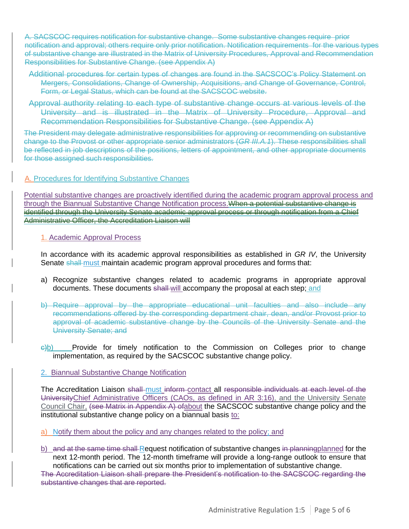A. SACSCOC requires notification for substantive change. Some substantive changes require prior notification and approval; others require only prior notification. Notification requirements for the various types of substantive change are illustrated in the Matrix of University Procedures, Approval and Recommendation Responsibilities for Substantive Change. (see Appendix A)

- Additional procedures for certain types of changes are found in the SACSCOC's Policy Statement on Mergers, Consolidations, Change of Ownership, Acquisitions, and Change of Governance, Control, Form, or Legal Status, which can be found at the SACSCOC website.
- Approval authority relating to each type of substantive change occurs at various levels of the University and is illustrated in the Matrix of University Procedure, Approval and Recommendation Responsibilities for Substantive Change. (see Appendix A)

The President may delegate administrative responsibilities for approving or recommending on substantive change to the Provost or other appropriate senior administrators (*GR III.A.1*). These responsibilities shall be reflected in job descriptions of the positions, letters of appointment, and other appropriate documents for those assigned such responsibilities.

### A. Procedures for Identifying Substantive Changes

Potential substantive changes are proactively identified during the academic program approval process and through the Biannual Substantive Change Notification process. When a potential substantive change is identified through the University Senate academic approval process or through notification from a Chief Administrative Officer, the Accreditation Liaison will

### 1. Academic Approval Process

In accordance with its academic approval responsibilities as established in *GR IV*, the University Senate shall must maintain academic program approval procedures and forms that:

- a) Recognize substantive changes related to academic programs in appropriate approval documents. These documents shall-will accompany the proposal at each step; and
- b) Require approval by the appropriate educational unit faculties and also include any recommendations offered by the corresponding department chair, dean, and/or Provost prior to approval of academic substantive change by the Councils of the University Senate and the University Senate; and
- $\ominus$ b) Provide for timely notification to the Commission on Colleges prior to change implementation, as required by the SACSCOC substantive change policy.

## 2. Biannual Substantive Change Notification

The Accreditation Liaison shall must inform contact all responsible individuals at each level of the UniversityChief Administrative Officers (CAOs, as defined in AR 3:16), and the University Senate Council Chair, (see Matrix in Appendix A) of about the SACSCOC substantive change policy and the institutional substantive change policy on a biannual basis to:

- a) Notify them about the policy and any changes related to the policy; and
- b) and at the same time shall-Request notification of substantive changes in planning planned for the next 12-month period. The 12-month timeframe will provide a long-range outlook to ensure that notifications can be carried out six months prior to implementation of substantive change.

The Accreditation Liaison shall prepare the President's notification to the SACSCOC regarding the substantive changes that are reported.